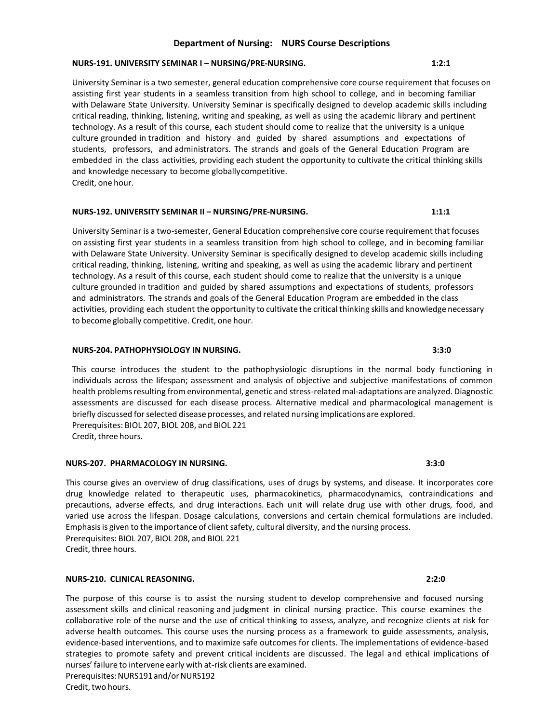### **Department of Nursing: NURS Course Descriptions**

### **NURS-191. UNIVERSITY SEMINAR I – NURSING/PRE-NURSING. 1:2:1**

University Seminar is a two semester, general education comprehensive core course requirement that focuses on assisting first year students in a seamless transition from high school to college, and in becoming familiar with Delaware State University. University Seminar is specifically designed to develop academic skills including critical reading, thinking, listening, writing and speaking, as well as using the academic library and pertinent technology. As a result of this course, each student should come to realize that the university is a unique culture grounded in tradition and history and guided by shared assumptions and expectations of students, professors, and administrators. The strands and goals of the General Education Program are embedded in the class activities, providing each student the opportunity to cultivate the critical thinking skills and knowledge necessary to become globallycompetitive. Credit, one hour.

### **NURS-192. UNIVERSITY SEMINAR II – NURSING/PRE-NURSING. 1:1:1**

University Seminar is a two-semester, General Education comprehensive core course requirement that focuses on assisting first year students in a seamless transition from high school to college, and in becoming familiar with Delaware State University. University Seminar is specifically designed to develop academic skills including critical reading, thinking, listening, writing and speaking, as well as using the academic library and pertinent technology. As a result of this course, each student should come to realize that the university is a unique culture grounded in tradition and guided by shared assumptions and expectations of students, professors and administrators. The strands and goals of the General Education Program are embedded in the class activities, providing each student the opportunity to cultivate the critical thinking skills and knowledge necessary to become globally competitive. Credit, one hour.

#### **NURS-204. PATHOPHYSIOLOGY IN NURSING. 3:3:0**

This course introduces the student to the pathophysiologic disruptions in the normal body functioning in individuals across the lifespan; assessment and analysis of objective and subjective manifestations of common health problemsresulting from environmental, genetic and stress-related mal-adaptations are analyzed. Diagnostic assessments are discussed for each disease process. Alternative medical and pharmacological management is briefly discussed forselected disease processes, and related nursing implications are explored. Prerequisites: BIOL 207, BIOL 208, and BIOL 221 Credit, three hours.

### **NURS-207. PHARMACOLOGY IN NURSING. 3:3:0**

This course gives an overview of drug classifications, uses of drugs by systems, and disease. It incorporates core drug knowledge related to therapeutic uses, pharmacokinetics, pharmacodynamics, contraindications and precautions, adverse effects, and drug interactions. Each unit will relate drug use with other drugs, food, and varied use across the lifespan. Dosage calculations, conversions and certain chemical formulations are included. Emphasis is given to the importance of client safety, cultural diversity, and the nursing process. Prerequisites: BIOL 207, BIOL 208, and BIOL 221 Credit, three hours.

### **NURS-210. CLINICAL REASONING. 2:2:0**

The purpose of this course is to assist the nursing student to develop comprehensive and focused nursing assessment skills and clinical reasoning and judgment in clinical nursing practice. This course examines the collaborative role of the nurse and the use of critical thinking to assess, analyze, and recognize clients at risk for adverse health outcomes. This course uses the nursing process as a framework to guide assessments, analysis, evidence-based interventions, and to maximize safe outcomes for clients. The implementations of evidence-based strategies to promote safety and prevent critical incidents are discussed. The legal and ethical implications of nurses' failure to intervene early with at-risk clients are examined. Prerequisites: NURS191 and/or NURS192 Credit, two hours.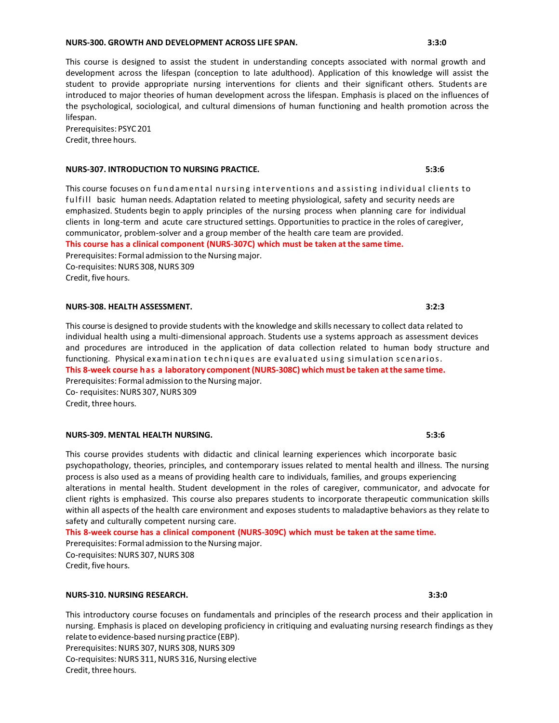## **NURS-300. GROWTH AND DEVELOPMENT ACROSS LIFE SPAN. 3:3:0**

This course is designed to assist the student in understanding concepts associated with normal growth and development across the lifespan (conception to late adulthood). Application of this knowledge will assist the student to provide appropriate nursing interventions for clients and their significant others. Students are introduced to major theories of human development across the lifespan. Emphasis is placed on the influences of the psychological, sociological, and cultural dimensions of human functioning and health promotion across the lifespan.

Prerequisites: PSYC201 Credit, three hours.

## **NURS-307. INTRODUCTION TO NURSING PRACTICE. 5:3:6**

This course focuses on fundamental nursing interventions and assisting individual clients to ful fill basic human needs. Adaptation related to meeting physiological, safety and security needs are emphasized. Students begin to apply principles of the nursing process when planning care for individual clients in long-term and acute care structured settings. Opportunities to practice in the roles of caregiver, communicator, problem-solver and a group member of the health care team are provided. **This course has a clinical component (NURS-307C) which must be taken at the same time.** Prerequisites: Formal admission to the Nursing major. Co-requisites: NURS 308, NURS 309 Credit, five hours.

## **NURS-308. HEALTH ASSESSMENT. 3:2:3**

This course is designed to provide students with the knowledge and skills necessary to collect data related to individual health using a multi-dimensional approach. Students use a systems approach as assessment devices and procedures are introduced in the application of data collection related to human body structure and functioning. Physical examination techniques are evaluated using simulation scenarios. **This 8-week course has a laboratory component(NURS-308C) which must be taken atthe same time.** Prerequisites: Formal admission to the Nursing major. Co- requisites: NURS 307, NURS 309 Credit, three hours.

### **NURS-309. MENTAL HEALTH NURSING. 5:3:6**

This course provides students with didactic and clinical learning experiences which incorporate basic psychopathology, theories, principles, and contemporary issues related to mental health and illness. The nursing process is also used as a means of providing health care to individuals, families, and groups experiencing alterations in mental health. Student development in the roles of caregiver, communicator, and advocate for client rights is emphasized. This course also prepares students to incorporate therapeutic communication skills within all aspects of the health care environment and exposes students to maladaptive behaviors as they relate to safety and culturally competent nursing care.

**This 8-week course has a clinical component (NURS-309C) which must be taken at the same time.** Prerequisites: Formal admission to the Nursing major. Co-requisites: NURS 307, NURS 308 Credit, five hours.

### **NURS-310. NURSING RESEARCH. 3:3:0**

This introductory course focuses on fundamentals and principles of the research process and their application in nursing. Emphasis is placed on developing proficiency in critiquing and evaluating nursing research findings as they relate to evidence-based nursing practice (EBP). Prerequisites: NURS 307, NURS 308, NURS 309 Co-requisites: NURS 311, NURS 316, Nursing elective Credit, three hours.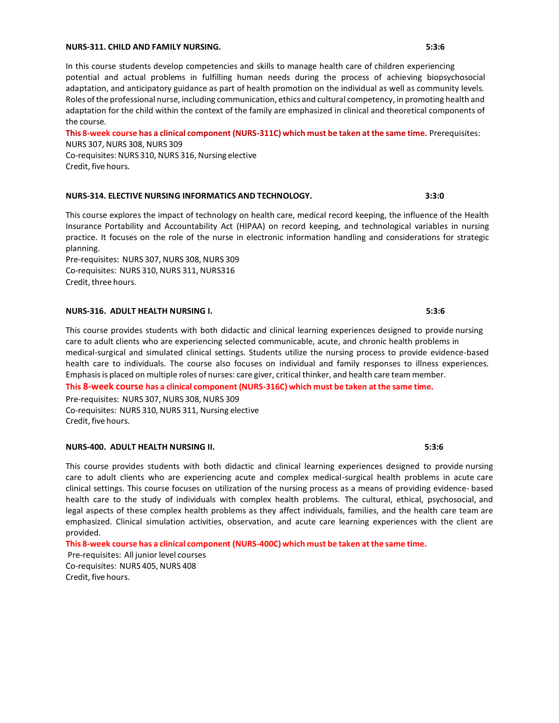#### **NURS-311. CHILD AND FAMILY NURSING. 5:3:6**

In this course students develop competencies and skills to manage health care of children experiencing potential and actual problems in fulfilling human needs during the process of achieving biopsychosocial adaptation, and anticipatory guidance as part of health promotion on the individual as well as community levels. Roles ofthe professional nurse, including communication, ethics and cultural competency, in promoting health and adaptation for the child within the context of the family are emphasized in clinical and theoretical components of the course.

**This 8-week course has a clinical component (NURS-311C) which must be taken at the same time.** Prerequisites: NURS 307, NURS 308, NURS 309 Co-requisites: NURS 310, NURS 316, Nursing elective Credit, five hours.

### **NURS-314. ELECTIVE NURSING INFORMATICS AND TECHNOLOGY. 3:3:0**

This course explores the impact of technology on health care, medical record keeping, the influence of the Health Insurance Portability and Accountability Act (HIPAA) on record keeping, and technological variables in nursing practice. It focuses on the role of the nurse in electronic information handling and considerations for strategic planning.

Pre-requisites: NURS 307, NURS 308, NURS 309 Co-requisites: NURS 310, NURS 311, NURS316 Credit, three hours.

#### **NURS-316. ADULT HEALTH NURSING I. 5:3:6**

This course provides students with both didactic and clinical learning experiences designed to provide nursing care to adult clients who are experiencing selected communicable, acute, and chronic health problems in medical-surgical and simulated clinical settings. Students utilize the nursing process to provide evidence-based health care to individuals. The course also focuses on individual and family responses to illness experiences. Emphasisis placed on multiple roles of nurses: care giver, critical thinker, and health care team member. **This 8-week course has a clinical component (NURS-316C) which must be taken atthe same time.**

Pre-requisites: NURS 307, NURS 308, NURS 309 Co-requisites: NURS 310, NURS 311, Nursing elective Credit, five hours.

### **NURS-400. ADULT HEALTH NURSING II. 5:3:6**

This course provides students with both didactic and clinical learning experiences designed to provide nursing care to adult clients who are experiencing acute and complex medical-surgical health problems in acute care clinical settings. This course focuses on utilization of the nursing process as a means of providing evidence- based health care to the study of individuals with complex health problems. The cultural, ethical, psychosocial, and legal aspects of these complex health problems as they affect individuals, families, and the health care team are emphasized. Clinical simulation activities, observation, and acute care learning experiences with the client are provided.

**This 8-week course has a clinical component (NURS-400C) which must be taken at the same time.**

Pre-requisites: All junior level courses Co-requisites: NURS 405, NURS 408 Credit, five hours.